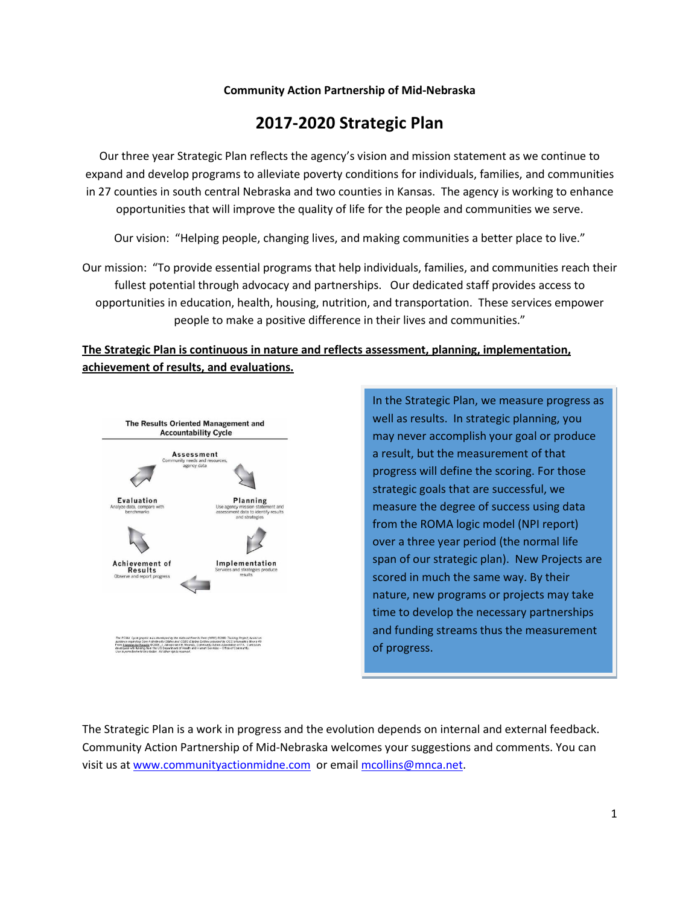#### **Community Action Partnership of Mid-Nebraska**

### **2017-2020 Strategic Plan**

Our three year Strategic Plan reflects the agency's vision and mission statement as we continue to expand and develop programs to alleviate poverty conditions for individuals, families, and communities in 27 counties in south central Nebraska and two counties in Kansas. The agency is working to enhance opportunities that will improve the quality of life for the people and communities we serve.

Our vision: "Helping people, changing lives, and making communities a better place to live."

Our mission: "To provide essential programs that help individuals, families, and communities reach their fullest potential through advocacy and partnerships. Our dedicated staff provides access to opportunities in education, health, housing, nutrition, and transportation. These services empower people to make a positive difference in their lives and communities."

### **The Strategic Plan is continuous in nature and reflects assessment, planning, implementation, achievement of results, and evaluations.**



In the Strategic Plan, we measure progress as well as results. In strategic planning, you may never accomplish your goal or produce a result, but the measurement of that progress will define the scoring. For those strategic goals that are successful, we measure the degree of success using data from the ROMA logic model (NPI report) over a three year period (the normal life span of our strategic plan). New Projects are scored in much the same way. By their nature, new programs or projects may take time to develop the necessary partnerships and funding streams thus the measurement of progress.

The Strategic Plan is a work in progress and the evolution depends on internal and external feedback. Community Action Partnership of Mid-Nebraska welcomes your suggestions and comments. You can visit us a[t www.communityactionmidne.com](http://www.communityactionmidne.com/) or email [mcollins@mnca.net.](mailto:mcollins@mnca.net)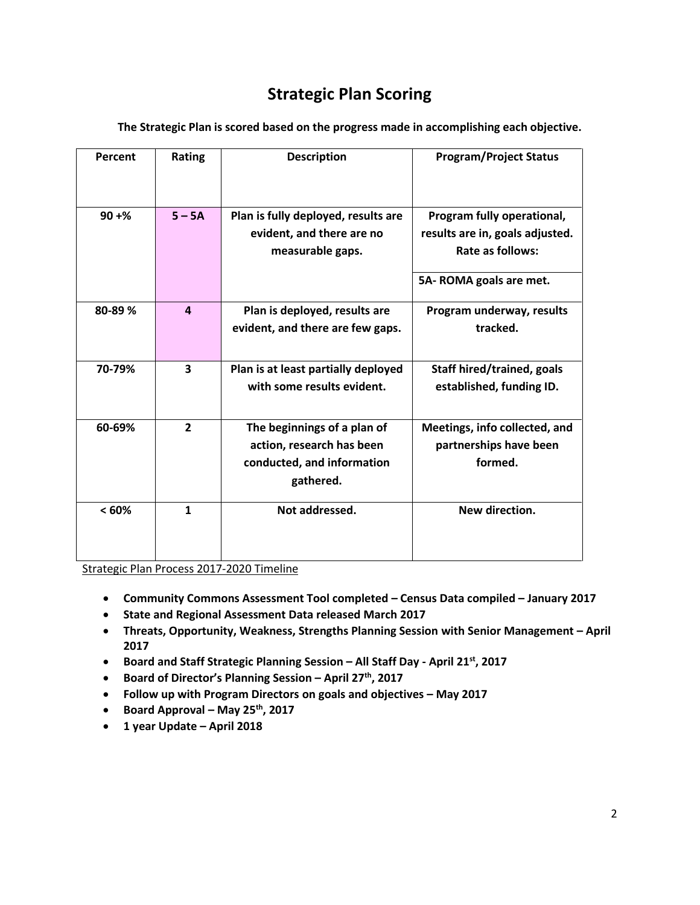## **Strategic Plan Scoring**

| Percent  | Rating                  | <b>Description</b>                                                                                  | <b>Program/Project Status</b>                                                     |
|----------|-------------------------|-----------------------------------------------------------------------------------------------------|-----------------------------------------------------------------------------------|
| $90 + %$ | $5 - 5A$                | Plan is fully deployed, results are<br>evident, and there are no<br>measurable gaps.                | Program fully operational,<br>results are in, goals adjusted.<br>Rate as follows: |
|          |                         |                                                                                                     | 5A-ROMA goals are met.                                                            |
| 80-89%   | $\overline{a}$          | Plan is deployed, results are<br>evident, and there are few gaps.                                   | Program underway, results<br>tracked.                                             |
| 70-79%   | $\overline{\mathbf{3}}$ | Plan is at least partially deployed<br>with some results evident.                                   | Staff hired/trained, goals<br>established, funding ID.                            |
| 60-69%   | $\overline{2}$          | The beginnings of a plan of<br>action, research has been<br>conducted, and information<br>gathered. | Meetings, info collected, and<br>partnerships have been<br>formed.                |
| < 60%    | $\mathbf{1}$            | Not addressed.                                                                                      | New direction.                                                                    |

**The Strategic Plan is scored based on the progress made in accomplishing each objective.**

Strategic Plan Process 2017-2020 Timeline

- **Community Commons Assessment Tool completed – Census Data compiled – January 2017**
- **State and Regional Assessment Data released March 2017**
- **Threats, Opportunity, Weakness, Strengths Planning Session with Senior Management – April 2017**
- **Board and Staff Strategic Planning Session – All Staff Day - April 21st, 2017**
- **Board of Director's Planning Session – April 27th, 2017**
- **Follow up with Program Directors on goals and objectives – May 2017**
- **Board Approval – May 25th, 2017**
- **1 year Update – April 2018**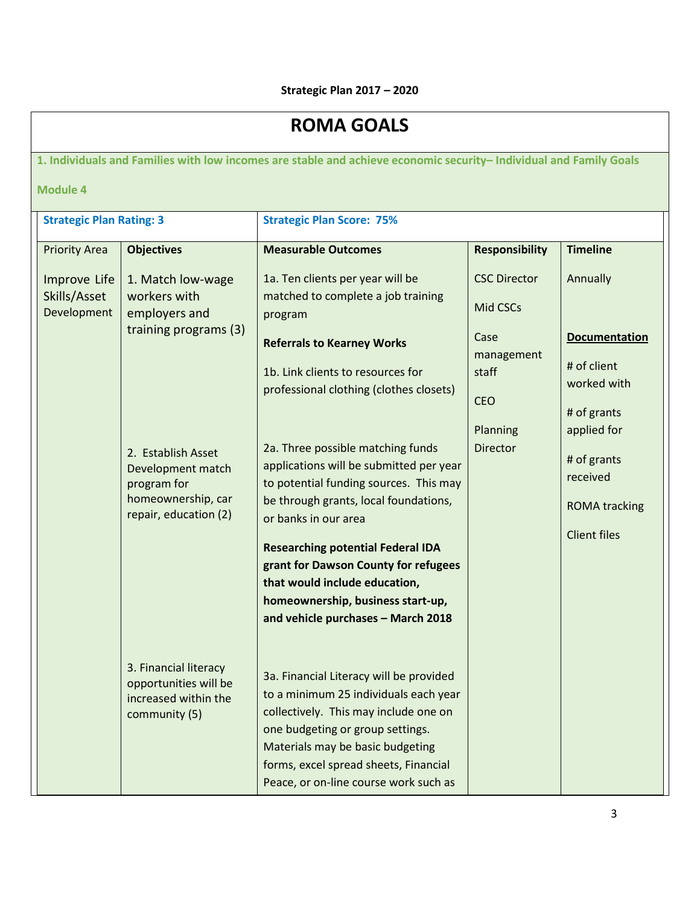# **ROMA GOALS**

**1. Individuals and Families with low incomes are stable and achieve economic security– Individual and Family Goals**

**Module 4**

| <b>Strategic Plan Rating: 3</b>             |                                                                                                       | <b>Strategic Plan Score: 75%</b>                                                                                                                                                                                                                                                                                                                                                                                                        |                                           |                                                                                       |
|---------------------------------------------|-------------------------------------------------------------------------------------------------------|-----------------------------------------------------------------------------------------------------------------------------------------------------------------------------------------------------------------------------------------------------------------------------------------------------------------------------------------------------------------------------------------------------------------------------------------|-------------------------------------------|---------------------------------------------------------------------------------------|
| <b>Priority Area</b>                        | <b>Objectives</b>                                                                                     | <b>Measurable Outcomes</b>                                                                                                                                                                                                                                                                                                                                                                                                              | <b>Responsibility</b>                     | <b>Timeline</b>                                                                       |
| Improve Life<br>Skills/Asset<br>Development | 1. Match low-wage<br>workers with<br>employers and                                                    | 1a. Ten clients per year will be<br>matched to complete a job training<br>program                                                                                                                                                                                                                                                                                                                                                       | <b>CSC Director</b><br>Mid CSCs           | Annually                                                                              |
|                                             | training programs (3)                                                                                 | <b>Referrals to Kearney Works</b><br>1b. Link clients to resources for<br>professional clothing (clothes closets)                                                                                                                                                                                                                                                                                                                       | Case<br>management<br>staff<br><b>CEO</b> | <b>Documentation</b><br># of client<br>worked with<br># of grants                     |
|                                             | 2. Establish Asset<br>Development match<br>program for<br>homeownership, car<br>repair, education (2) | 2a. Three possible matching funds<br>applications will be submitted per year<br>to potential funding sources. This may<br>be through grants, local foundations,<br>or banks in our area<br><b>Researching potential Federal IDA</b>                                                                                                                                                                                                     | Planning<br><b>Director</b>               | applied for<br># of grants<br>received<br><b>ROMA tracking</b><br><b>Client files</b> |
|                                             | 3. Financial literacy<br>opportunities will be<br>increased within the<br>community (5)               | grant for Dawson County for refugees<br>that would include education,<br>homeownership, business start-up,<br>and vehicle purchases - March 2018<br>3a. Financial Literacy will be provided<br>to a minimum 25 individuals each year<br>collectively. This may include one on<br>one budgeting or group settings.<br>Materials may be basic budgeting<br>forms, excel spread sheets, Financial<br>Peace, or on-line course work such as |                                           |                                                                                       |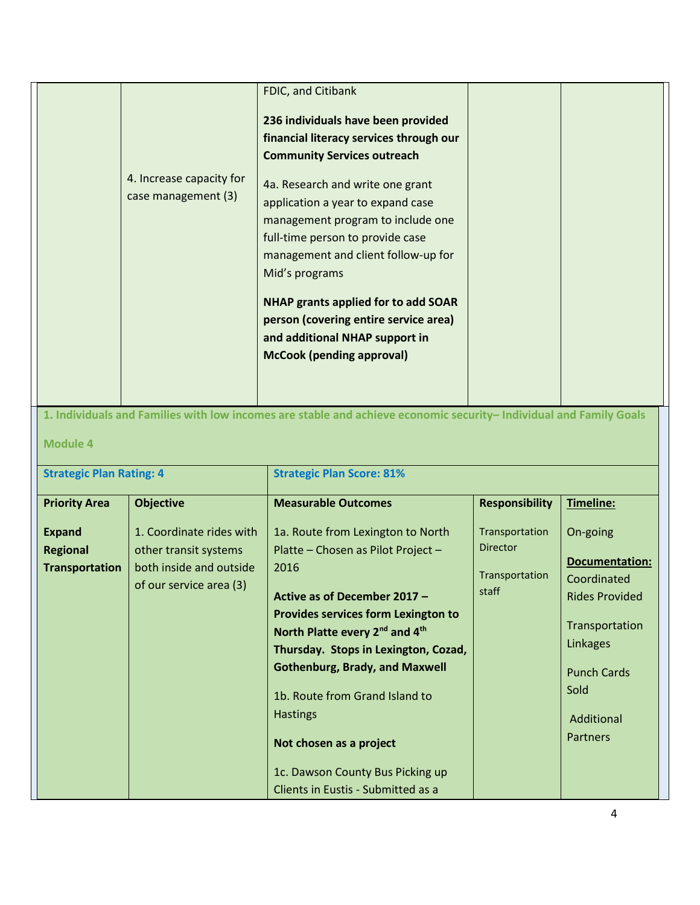|                                                           | 4. Increase capacity for<br>case management (3)                                                         | FDIC, and Citibank<br>236 individuals have been provided<br>financial literacy services through our<br><b>Community Services outreach</b><br>4a. Research and write one grant<br>application a year to expand case<br>management program to include one<br>full-time person to provide case<br>management and client follow-up for<br>Mid's programs<br>NHAP grants applied for to add SOAR<br>person (covering entire service area)<br>and additional NHAP support in<br><b>McCook (pending approval)</b> |                                                              |                                                                                                                                                                        |
|-----------------------------------------------------------|---------------------------------------------------------------------------------------------------------|------------------------------------------------------------------------------------------------------------------------------------------------------------------------------------------------------------------------------------------------------------------------------------------------------------------------------------------------------------------------------------------------------------------------------------------------------------------------------------------------------------|--------------------------------------------------------------|------------------------------------------------------------------------------------------------------------------------------------------------------------------------|
|                                                           |                                                                                                         | 1. Individuals and Families with low incomes are stable and achieve economic security- Individual and Family Goals                                                                                                                                                                                                                                                                                                                                                                                         |                                                              |                                                                                                                                                                        |
| <b>Module 4</b><br><b>Strategic Plan Rating: 4</b>        |                                                                                                         | <b>Strategic Plan Score: 81%</b>                                                                                                                                                                                                                                                                                                                                                                                                                                                                           |                                                              |                                                                                                                                                                        |
|                                                           |                                                                                                         |                                                                                                                                                                                                                                                                                                                                                                                                                                                                                                            |                                                              |                                                                                                                                                                        |
| <b>Priority Area</b>                                      | <b>Objective</b>                                                                                        | <b>Measurable Outcomes</b>                                                                                                                                                                                                                                                                                                                                                                                                                                                                                 | <b>Responsibility</b>                                        | Timeline:                                                                                                                                                              |
| <b>Expand</b><br><b>Regional</b><br><b>Transportation</b> | 1. Coordinate rides with<br>other transit systems<br>both inside and outside<br>of our service area (3) | 1a. Route from Lexington to North<br>Platte - Chosen as Pilot Project -<br>2016<br>Active as of December 2017 -<br><b>Provides services form Lexington to</b><br>North Platte every 2 <sup>nd</sup> and 4 <sup>th</sup><br>Thursday. Stops in Lexington, Cozad,<br><b>Gothenburg, Brady, and Maxwell</b><br>1b. Route from Grand Island to<br><b>Hastings</b><br>Not chosen as a project                                                                                                                   | Transportation<br><b>Director</b><br>Transportation<br>staff | On-going<br><b>Documentation:</b><br>Coordinated<br><b>Rides Provided</b><br>Transportation<br>Linkages<br><b>Punch Cards</b><br>Sold<br>Additional<br><b>Partners</b> |
|                                                           |                                                                                                         | 1c. Dawson County Bus Picking up                                                                                                                                                                                                                                                                                                                                                                                                                                                                           |                                                              |                                                                                                                                                                        |

Clients in Eustis - Submitted as a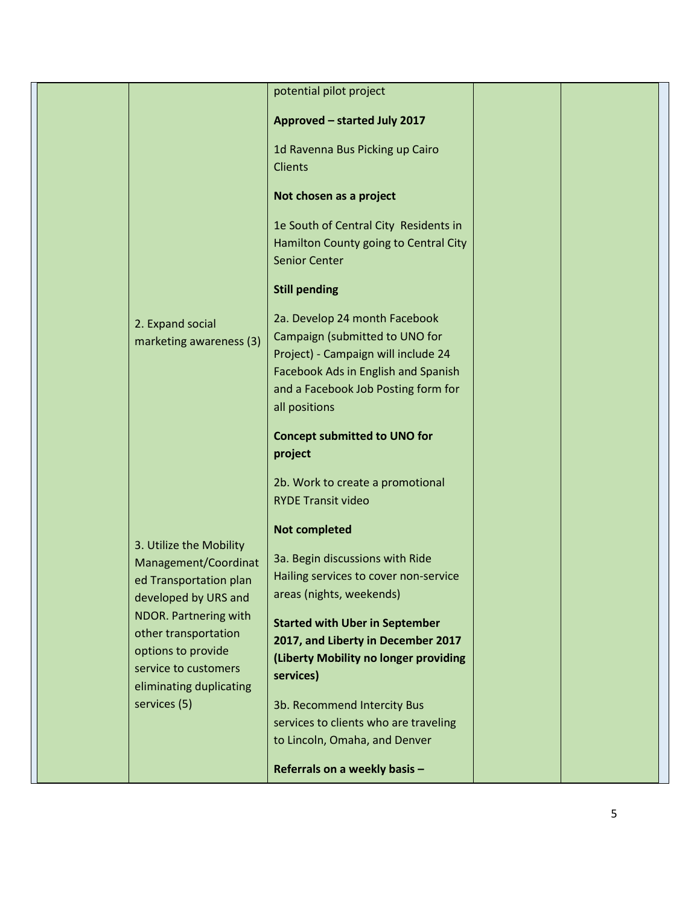|                  |                                                                        | potential pilot project                                                                                                                                                                                                                      |  |
|------------------|------------------------------------------------------------------------|----------------------------------------------------------------------------------------------------------------------------------------------------------------------------------------------------------------------------------------------|--|
|                  |                                                                        | <b>Approved - started July 2017</b>                                                                                                                                                                                                          |  |
|                  |                                                                        | 1d Ravenna Bus Picking up Cairo<br><b>Clients</b>                                                                                                                                                                                            |  |
|                  |                                                                        | Not chosen as a project                                                                                                                                                                                                                      |  |
|                  |                                                                        | 1e South of Central City Residents in<br>Hamilton County going to Central City<br><b>Senior Center</b>                                                                                                                                       |  |
|                  |                                                                        | <b>Still pending</b>                                                                                                                                                                                                                         |  |
| 2. Expand social | marketing awareness (3)                                                | 2a. Develop 24 month Facebook<br>Campaign (submitted to UNO for<br>Project) - Campaign will include 24<br>Facebook Ads in English and Spanish<br>and a Facebook Job Posting form for<br>all positions<br><b>Concept submitted to UNO for</b> |  |
|                  |                                                                        | project                                                                                                                                                                                                                                      |  |
|                  |                                                                        | 2b. Work to create a promotional<br><b>RYDE Transit video</b>                                                                                                                                                                                |  |
|                  | 3. Utilize the Mobility                                                | <b>Not completed</b>                                                                                                                                                                                                                         |  |
|                  | Management/Coordinat<br>ed Transportation plan<br>developed by URS and | 3a. Begin discussions with Ride<br>Hailing services to cover non-service<br>areas (nights, weekends)                                                                                                                                         |  |
|                  | NDOR. Partnering with<br>other transportation<br>options to provide    | <b>Started with Uber in September</b><br>2017, and Liberty in December 2017<br>(Liberty Mobility no longer providing                                                                                                                         |  |
|                  | service to customers<br>eliminating duplicating                        | services)                                                                                                                                                                                                                                    |  |
| services (5)     |                                                                        | 3b. Recommend Intercity Bus<br>services to clients who are traveling<br>to Lincoln, Omaha, and Denver                                                                                                                                        |  |
|                  |                                                                        | Referrals on a weekly basis -                                                                                                                                                                                                                |  |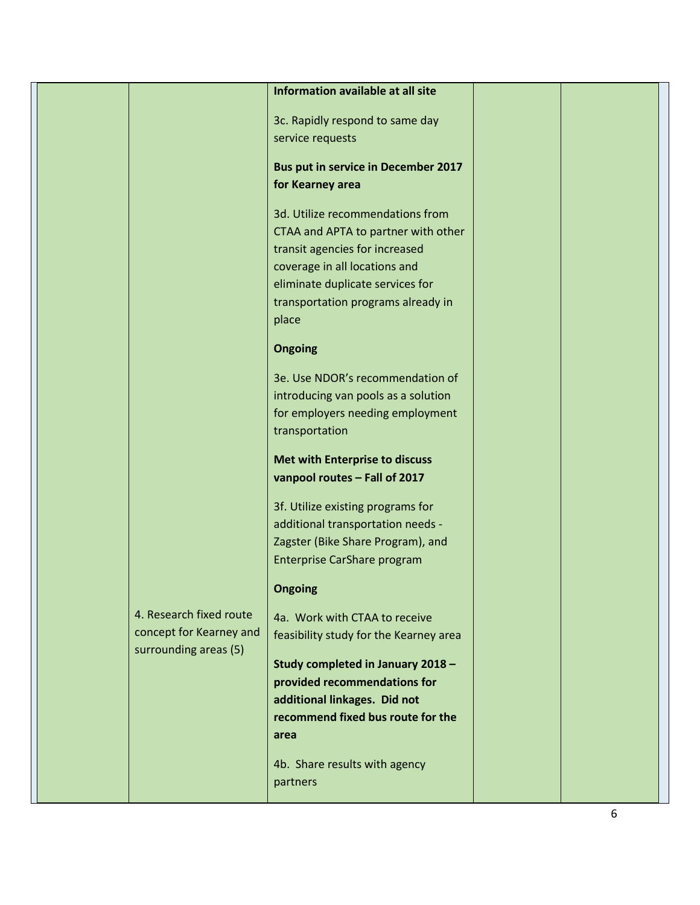|                         | Information available at all site          |  |
|-------------------------|--------------------------------------------|--|
|                         |                                            |  |
|                         | 3c. Rapidly respond to same day            |  |
|                         | service requests                           |  |
|                         |                                            |  |
|                         | <b>Bus put in service in December 2017</b> |  |
|                         | for Kearney area                           |  |
|                         | 3d. Utilize recommendations from           |  |
|                         | CTAA and APTA to partner with other        |  |
|                         | transit agencies for increased             |  |
|                         | coverage in all locations and              |  |
|                         | eliminate duplicate services for           |  |
|                         | transportation programs already in         |  |
|                         | place                                      |  |
|                         |                                            |  |
|                         | <b>Ongoing</b>                             |  |
|                         |                                            |  |
|                         | 3e. Use NDOR's recommendation of           |  |
|                         | introducing van pools as a solution        |  |
|                         | for employers needing employment           |  |
|                         | transportation                             |  |
|                         | <b>Met with Enterprise to discuss</b>      |  |
|                         | vanpool routes - Fall of 2017              |  |
|                         |                                            |  |
|                         | 3f. Utilize existing programs for          |  |
|                         | additional transportation needs -          |  |
|                         | Zagster (Bike Share Program), and          |  |
|                         | Enterprise CarShare program                |  |
|                         | <b>Ongoing</b>                             |  |
|                         |                                            |  |
| 4. Research fixed route | 4a. Work with CTAA to receive              |  |
| concept for Kearney and | feasibility study for the Kearney area     |  |
| surrounding areas (5)   |                                            |  |
|                         | Study completed in January 2018 -          |  |
|                         | provided recommendations for               |  |
|                         | additional linkages. Did not               |  |
|                         | recommend fixed bus route for the          |  |
|                         | area                                       |  |
|                         | 4b. Share results with agency              |  |
|                         | partners                                   |  |
|                         |                                            |  |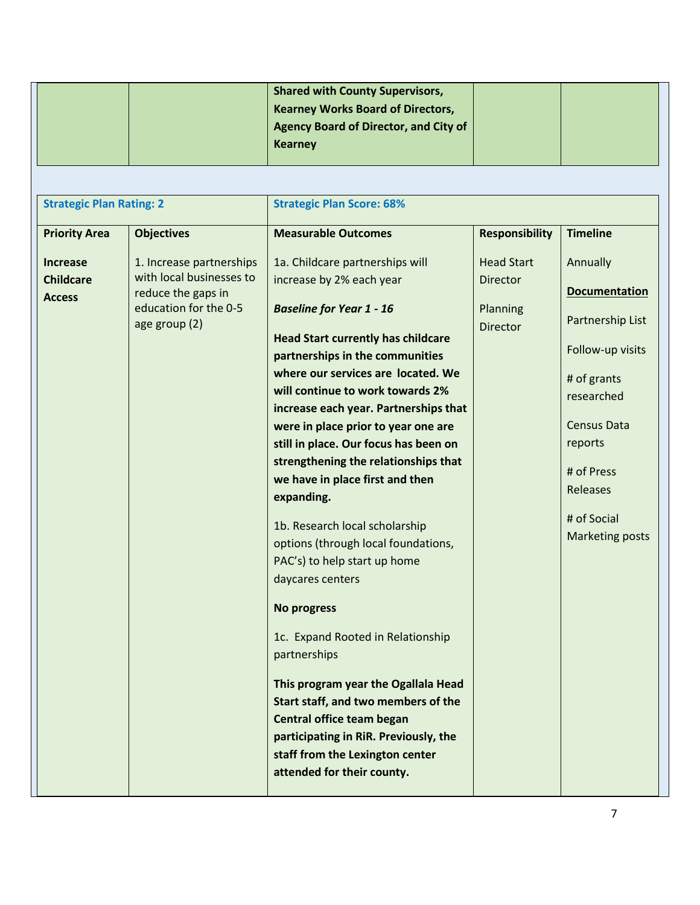|                                 |                          | <b>Shared with County Supervisors,</b>       |                       |                      |
|---------------------------------|--------------------------|----------------------------------------------|-----------------------|----------------------|
|                                 |                          |                                              |                       |                      |
|                                 |                          | <b>Kearney Works Board of Directors,</b>     |                       |                      |
|                                 |                          | <b>Agency Board of Director, and City of</b> |                       |                      |
|                                 |                          | <b>Kearney</b>                               |                       |                      |
|                                 |                          |                                              |                       |                      |
|                                 |                          |                                              |                       |                      |
| <b>Strategic Plan Rating: 2</b> |                          | <b>Strategic Plan Score: 68%</b>             |                       |                      |
| <b>Priority Area</b>            | <b>Objectives</b>        | <b>Measurable Outcomes</b>                   | <b>Responsibility</b> | <b>Timeline</b>      |
| <b>Increase</b>                 | 1. Increase partnerships | 1a. Childcare partnerships will              | <b>Head Start</b>     | Annually             |
| <b>Childcare</b>                | with local businesses to | increase by 2% each year                     | <b>Director</b>       |                      |
| <b>Access</b>                   | reduce the gaps in       |                                              |                       | <b>Documentation</b> |
|                                 | education for the 0-5    | <b>Baseline for Year 1 - 16</b>              | Planning              |                      |
|                                 | age group (2)            |                                              | <b>Director</b>       | Partnership List     |
|                                 |                          | <b>Head Start currently has childcare</b>    |                       | Follow-up visits     |
|                                 |                          | partnerships in the communities              |                       |                      |
|                                 |                          | where our services are located. We           |                       | # of grants          |
|                                 |                          | will continue to work towards 2%             |                       | researched           |
|                                 |                          | increase each year. Partnerships that        |                       |                      |
|                                 |                          | were in place prior to year one are          |                       | <b>Census Data</b>   |
|                                 |                          | still in place. Our focus has been on        |                       | reports              |
|                                 |                          | strengthening the relationships that         |                       |                      |
|                                 |                          | we have in place first and then              |                       | # of Press           |
|                                 |                          | expanding.                                   |                       | Releases             |
|                                 |                          |                                              |                       | # of Social          |
|                                 |                          | 1b. Research local scholarship               |                       | Marketing posts      |
|                                 |                          | options (through local foundations,          |                       |                      |
|                                 |                          | PAC's) to help start up home                 |                       |                      |
|                                 |                          | daycares centers                             |                       |                      |
|                                 |                          | <b>No progress</b>                           |                       |                      |
|                                 |                          | 1c. Expand Rooted in Relationship            |                       |                      |
|                                 |                          | partnerships                                 |                       |                      |
|                                 |                          |                                              |                       |                      |
|                                 |                          | This program year the Ogallala Head          |                       |                      |
|                                 |                          | Start staff, and two members of the          |                       |                      |
|                                 |                          | Central office team began                    |                       |                      |
|                                 |                          | participating in RiR. Previously, the        |                       |                      |
|                                 |                          | staff from the Lexington center              |                       |                      |
|                                 |                          | attended for their county.                   |                       |                      |
|                                 |                          |                                              |                       |                      |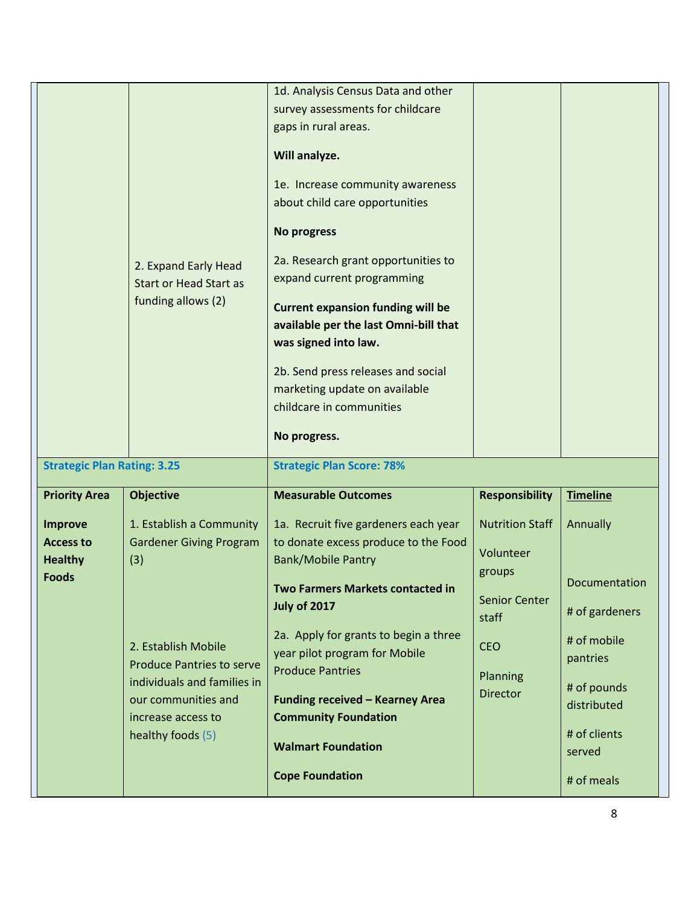|                                                                      | 2. Expand Early Head<br><b>Start or Head Start as</b><br>funding allows (2)                                                                              | 1d. Analysis Census Data and other<br>survey assessments for childcare<br>gaps in rural areas.<br>Will analyze.<br>1e. Increase community awareness<br>about child care opportunities<br><b>No progress</b><br>2a. Research grant opportunities to<br>expand current programming<br><b>Current expansion funding will be</b><br>available per the last Omni-bill that<br>was signed into law.<br>2b. Send press releases and social<br>marketing update on available<br>childcare in communities<br>No progress. |                                                                            |                                                                                         |
|----------------------------------------------------------------------|----------------------------------------------------------------------------------------------------------------------------------------------------------|------------------------------------------------------------------------------------------------------------------------------------------------------------------------------------------------------------------------------------------------------------------------------------------------------------------------------------------------------------------------------------------------------------------------------------------------------------------------------------------------------------------|----------------------------------------------------------------------------|-----------------------------------------------------------------------------------------|
| <b>Strategic Plan Rating: 3.25</b>                                   |                                                                                                                                                          | <b>Strategic Plan Score: 78%</b>                                                                                                                                                                                                                                                                                                                                                                                                                                                                                 |                                                                            |                                                                                         |
| <b>Priority Area</b>                                                 | <b>Objective</b>                                                                                                                                         | <b>Measurable Outcomes</b>                                                                                                                                                                                                                                                                                                                                                                                                                                                                                       | <b>Responsibility</b>                                                      | <b>Timeline</b>                                                                         |
| <b>Improve</b><br><b>Access to</b><br><b>Healthy</b><br><b>Foods</b> | 1. Establish a Community<br><b>Gardener Giving Program</b><br>(3)                                                                                        | 1a. Recruit five gardeners each year<br>to donate excess produce to the Food<br><b>Bank/Mobile Pantry</b><br><b>Two Farmers Markets contacted in</b>                                                                                                                                                                                                                                                                                                                                                             | <b>Nutrition Staff</b><br>Volunteer<br>groups                              | Annually<br>Documentation                                                               |
|                                                                      | 2. Establish Mobile<br><b>Produce Pantries to serve</b><br>individuals and families in<br>our communities and<br>increase access to<br>healthy foods (5) | <b>July of 2017</b><br>2a. Apply for grants to begin a three<br>year pilot program for Mobile<br><b>Produce Pantries</b><br><b>Funding received - Kearney Area</b><br><b>Community Foundation</b>                                                                                                                                                                                                                                                                                                                | <b>Senior Center</b><br>staff<br><b>CEO</b><br>Planning<br><b>Director</b> | # of gardeners<br># of mobile<br>pantries<br># of pounds<br>distributed<br># of clients |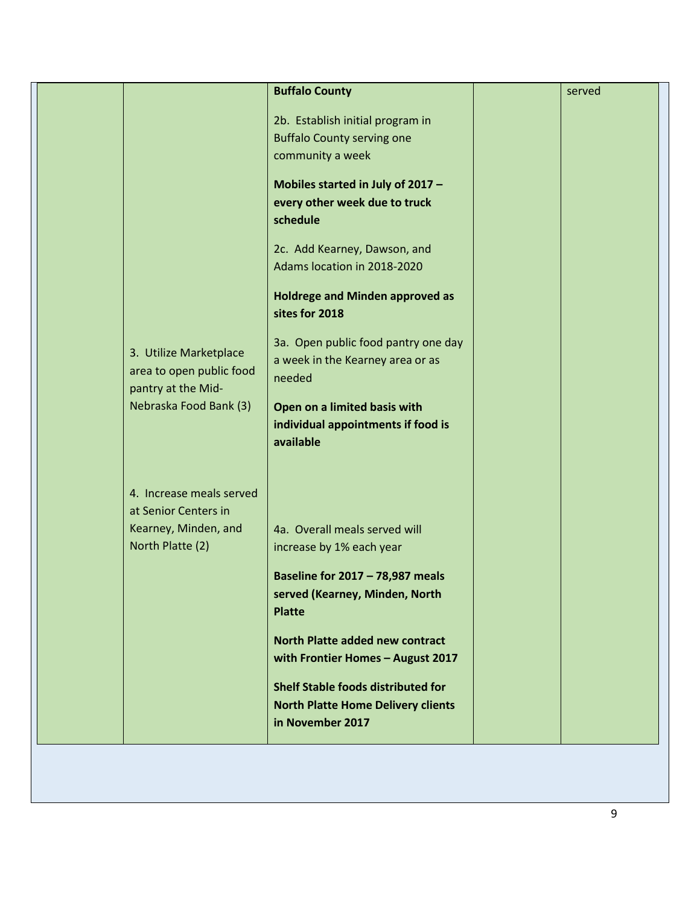|                                                                          | <b>Buffalo County</b>                                                                                      | served |
|--------------------------------------------------------------------------|------------------------------------------------------------------------------------------------------------|--------|
|                                                                          | 2b. Establish initial program in<br><b>Buffalo County serving one</b><br>community a week                  |        |
|                                                                          | Mobiles started in July of 2017 -<br>every other week due to truck<br>schedule                             |        |
|                                                                          | 2c. Add Kearney, Dawson, and<br>Adams location in 2018-2020                                                |        |
|                                                                          | <b>Holdrege and Minden approved as</b><br>sites for 2018                                                   |        |
| 3. Utilize Marketplace<br>area to open public food<br>pantry at the Mid- | 3a. Open public food pantry one day<br>a week in the Kearney area or as<br>needed                          |        |
| Nebraska Food Bank (3)                                                   | Open on a limited basis with<br>individual appointments if food is<br>available                            |        |
| 4. Increase meals served<br>at Senior Centers in                         |                                                                                                            |        |
| Kearney, Minden, and<br>North Platte (2)                                 | 4a. Overall meals served will<br>increase by 1% each year                                                  |        |
|                                                                          | <b>Baseline for 2017 - 78,987 meals</b><br>served (Kearney, Minden, North<br><b>Platte</b>                 |        |
|                                                                          | North Platte added new contract<br>with Frontier Homes - August 2017                                       |        |
|                                                                          | <b>Shelf Stable foods distributed for</b><br><b>North Platte Home Delivery clients</b><br>in November 2017 |        |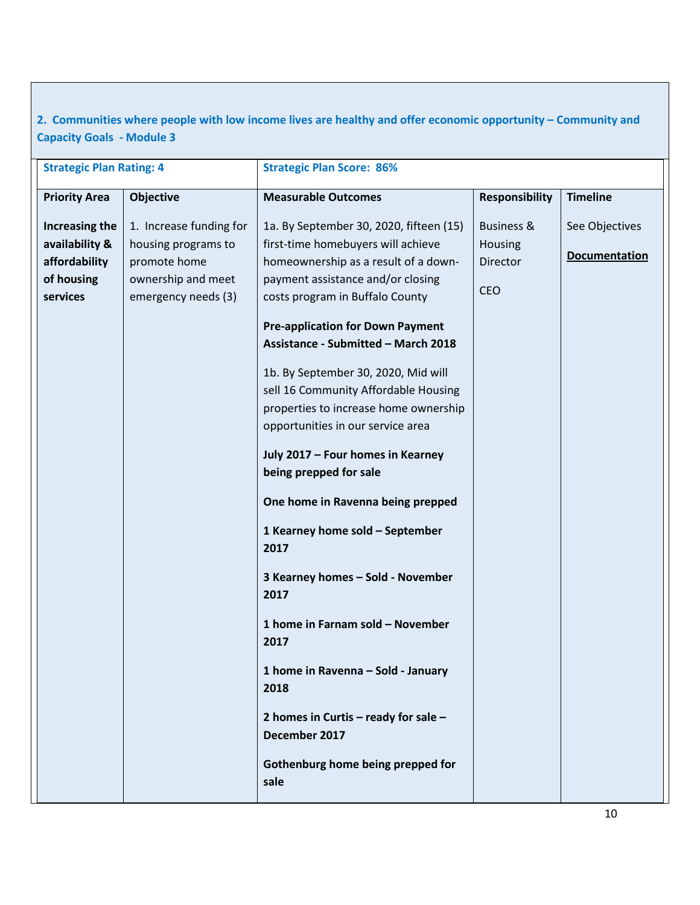**2. Communities where people with low income lives are healthy and offer economic opportunity – Community and Capacity Goals - Module 3**

| <b>Strategic Plan Rating: 4</b>                                             |                                                                                                             | <b>Strategic Plan Score: 86%</b>                                                                                                                                                                                                                                                                                                                                                                                                                                                                                                                 |                                                            |                                        |
|-----------------------------------------------------------------------------|-------------------------------------------------------------------------------------------------------------|--------------------------------------------------------------------------------------------------------------------------------------------------------------------------------------------------------------------------------------------------------------------------------------------------------------------------------------------------------------------------------------------------------------------------------------------------------------------------------------------------------------------------------------------------|------------------------------------------------------------|----------------------------------------|
| <b>Priority Area</b>                                                        | Objective                                                                                                   | <b>Measurable Outcomes</b>                                                                                                                                                                                                                                                                                                                                                                                                                                                                                                                       | <b>Responsibility</b>                                      | <b>Timeline</b>                        |
| Increasing the<br>availability &<br>affordability<br>of housing<br>services | 1. Increase funding for<br>housing programs to<br>promote home<br>ownership and meet<br>emergency needs (3) | 1a. By September 30, 2020, fifteen (15)<br>first-time homebuyers will achieve<br>homeownership as a result of a down-<br>payment assistance and/or closing<br>costs program in Buffalo County<br><b>Pre-application for Down Payment</b><br>Assistance - Submitted - March 2018<br>1b. By September 30, 2020, Mid will<br>sell 16 Community Affordable Housing<br>properties to increase home ownership<br>opportunities in our service area<br>July 2017 - Four homes in Kearney<br>being prepped for sale<br>One home in Ravenna being prepped | <b>Business &amp;</b><br>Housing<br>Director<br><b>CEO</b> | See Objectives<br><b>Documentation</b> |
|                                                                             |                                                                                                             | 1 Kearney home sold - September<br>2017<br>3 Kearney homes - Sold - November<br>2017<br>1 home in Farnam sold - November<br>2017<br>1 home in Ravenna - Sold - January<br>2018<br>2 homes in Curtis - ready for sale -<br>December 2017<br>Gothenburg home being prepped for<br>sale                                                                                                                                                                                                                                                             |                                                            |                                        |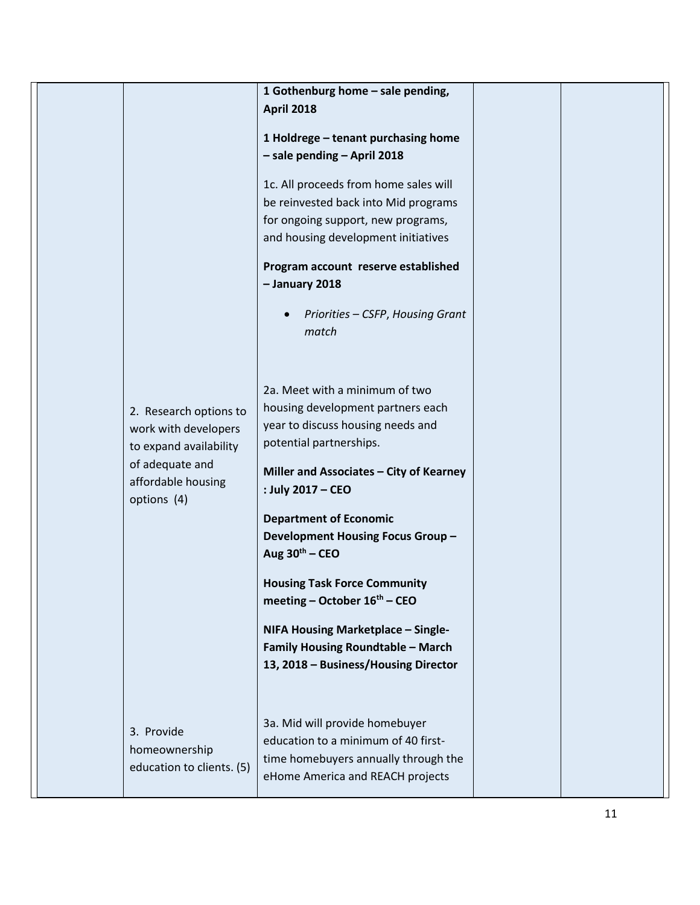|  |                           | 1 Gothenburg home - sale pending,        |  |
|--|---------------------------|------------------------------------------|--|
|  |                           | <b>April 2018</b>                        |  |
|  |                           |                                          |  |
|  |                           | 1 Holdrege - tenant purchasing home      |  |
|  |                           | - sale pending - April 2018              |  |
|  |                           | 1c. All proceeds from home sales will    |  |
|  |                           | be reinvested back into Mid programs     |  |
|  |                           | for ongoing support, new programs,       |  |
|  |                           | and housing development initiatives      |  |
|  |                           |                                          |  |
|  |                           | Program account reserve established      |  |
|  |                           | - January 2018                           |  |
|  |                           |                                          |  |
|  |                           | Priorities - CSFP, Housing Grant         |  |
|  |                           | match                                    |  |
|  |                           |                                          |  |
|  |                           |                                          |  |
|  |                           | 2a. Meet with a minimum of two           |  |
|  | 2. Research options to    | housing development partners each        |  |
|  | work with developers      | year to discuss housing needs and        |  |
|  | to expand availability    | potential partnerships.                  |  |
|  | of adequate and           | Miller and Associates - City of Kearney  |  |
|  | affordable housing        | : July 2017 - CEO                        |  |
|  | options (4)               |                                          |  |
|  |                           | <b>Department of Economic</b>            |  |
|  |                           | Development Housing Focus Group-         |  |
|  |                           | Aug $30th - CEO$                         |  |
|  |                           |                                          |  |
|  |                           | <b>Housing Task Force Community</b>      |  |
|  |                           | meeting - October 16 <sup>th</sup> - CEO |  |
|  |                           | NIFA Housing Marketplace - Single-       |  |
|  |                           | <b>Family Housing Roundtable - March</b> |  |
|  |                           | 13, 2018 - Business/Housing Director     |  |
|  |                           |                                          |  |
|  |                           |                                          |  |
|  |                           | 3a. Mid will provide homebuyer           |  |
|  | 3. Provide                | education to a minimum of 40 first-      |  |
|  | homeownership             | time homebuyers annually through the     |  |
|  | education to clients. (5) | eHome America and REACH projects         |  |
|  |                           |                                          |  |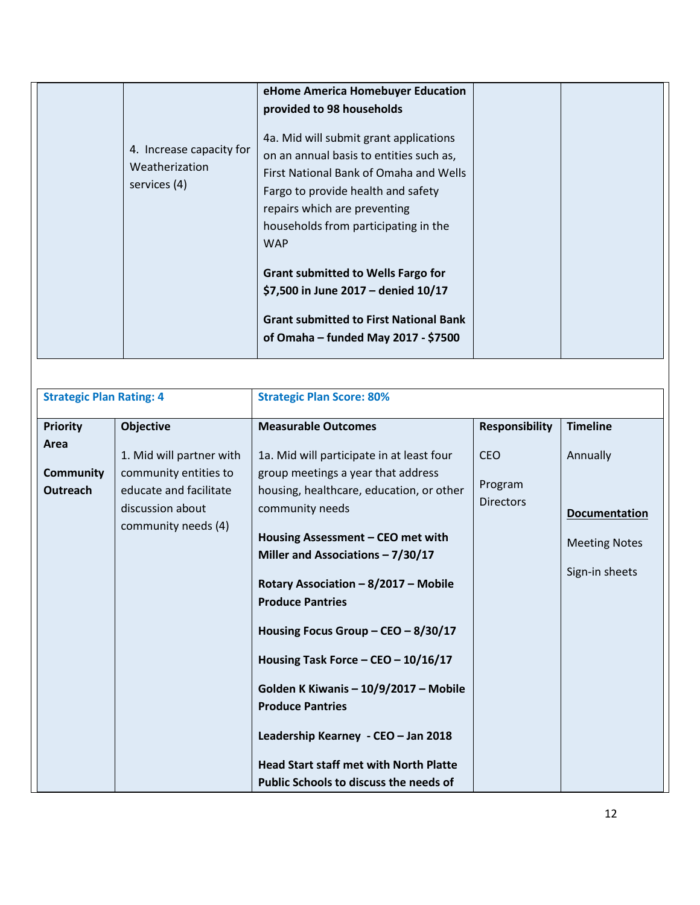| Weatherization<br>services (4) | 4. Increase capacity for | eHome America Homebuyer Education<br>provided to 98 households<br>4a. Mid will submit grant applications<br>on an annual basis to entities such as,<br>First National Bank of Omaha and Wells<br>Fargo to provide health and safety<br>repairs which are preventing<br>households from participating in the<br><b>WAP</b> |  |
|--------------------------------|--------------------------|---------------------------------------------------------------------------------------------------------------------------------------------------------------------------------------------------------------------------------------------------------------------------------------------------------------------------|--|
|                                |                          | <b>Grant submitted to Wells Fargo for</b><br>\$7,500 in June 2017 - denied 10/17<br><b>Grant submitted to First National Bank</b><br>of Omaha – funded May 2017 - \$7500                                                                                                                                                  |  |

| <b>Strategic Plan Rating: 4</b>     |                                                                                            | <b>Strategic Plan Score: 80%</b>                                                                                                                                                                                                                                                                                                                                                                                                           |                             |                                                                |
|-------------------------------------|--------------------------------------------------------------------------------------------|--------------------------------------------------------------------------------------------------------------------------------------------------------------------------------------------------------------------------------------------------------------------------------------------------------------------------------------------------------------------------------------------------------------------------------------------|-----------------------------|----------------------------------------------------------------|
| <b>Priority</b>                     | <b>Objective</b>                                                                           | <b>Measurable Outcomes</b>                                                                                                                                                                                                                                                                                                                                                                                                                 | <b>Responsibility</b>       | <b>Timeline</b>                                                |
| Area                                | 1. Mid will partner with                                                                   | 1a. Mid will participate in at least four                                                                                                                                                                                                                                                                                                                                                                                                  | <b>CEO</b>                  | Annually                                                       |
| <b>Community</b><br><b>Outreach</b> | community entities to<br>educate and facilitate<br>discussion about<br>community needs (4) | group meetings a year that address<br>housing, healthcare, education, or other<br>community needs<br>Housing Assessment - CEO met with<br>Miller and Associations $-7/30/17$<br>Rotary Association - 8/2017 - Mobile<br><b>Produce Pantries</b><br>Housing Focus Group - CEO - $8/30/17$<br>Housing Task Force - CEO - 10/16/17<br>Golden K Kiwanis - 10/9/2017 - Mobile<br><b>Produce Pantries</b><br>Leadership Kearney - CEO - Jan 2018 | Program<br><b>Directors</b> | <b>Documentation</b><br><b>Meeting Notes</b><br>Sign-in sheets |
|                                     |                                                                                            | <b>Head Start staff met with North Platte</b><br>Public Schools to discuss the needs of                                                                                                                                                                                                                                                                                                                                                    |                             |                                                                |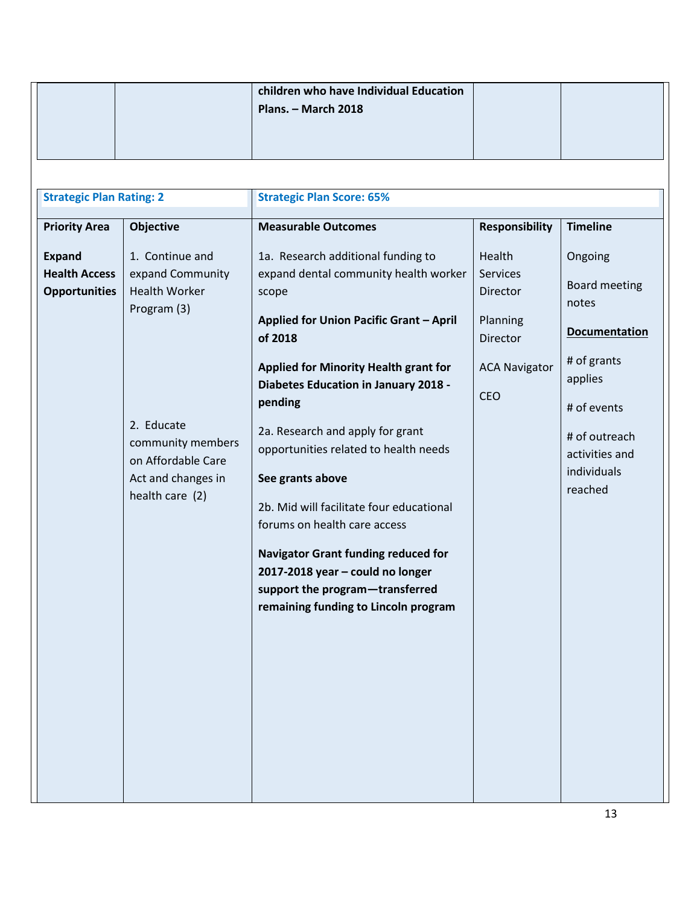|                                                                                                                          |                                                                                                                                                                                                  | children who have Individual Education<br>Plans. - March 2018                                                                                                                                                                                                                                                                                                                                                                                                                                                                                                                                                                                                    |                                                                                                                              |                                                                                                                                                                                           |
|--------------------------------------------------------------------------------------------------------------------------|--------------------------------------------------------------------------------------------------------------------------------------------------------------------------------------------------|------------------------------------------------------------------------------------------------------------------------------------------------------------------------------------------------------------------------------------------------------------------------------------------------------------------------------------------------------------------------------------------------------------------------------------------------------------------------------------------------------------------------------------------------------------------------------------------------------------------------------------------------------------------|------------------------------------------------------------------------------------------------------------------------------|-------------------------------------------------------------------------------------------------------------------------------------------------------------------------------------------|
| <b>Strategic Plan Rating: 2</b><br><b>Priority Area</b><br><b>Expand</b><br><b>Health Access</b><br><b>Opportunities</b> | <b>Objective</b><br>1. Continue and<br>expand Community<br><b>Health Worker</b><br>Program (3)<br>2. Educate<br>community members<br>on Affordable Care<br>Act and changes in<br>health care (2) | <b>Strategic Plan Score: 65%</b><br><b>Measurable Outcomes</b><br>1a. Research additional funding to<br>expand dental community health worker<br>scope<br>Applied for Union Pacific Grant - April<br>of 2018<br><b>Applied for Minority Health grant for</b><br><b>Diabetes Education in January 2018 -</b><br>pending<br>2a. Research and apply for grant<br>opportunities related to health needs<br>See grants above<br>2b. Mid will facilitate four educational<br>forums on health care access<br><b>Navigator Grant funding reduced for</b><br>2017-2018 year - could no longer<br>support the program-transferred<br>remaining funding to Lincoln program | <b>Responsibility</b><br>Health<br><b>Services</b><br>Director<br>Planning<br><b>Director</b><br><b>ACA Navigator</b><br>CEO | <b>Timeline</b><br>Ongoing<br><b>Board meeting</b><br>notes<br><b>Documentation</b><br># of grants<br>applies<br># of events<br># of outreach<br>activities and<br>individuals<br>reached |
|                                                                                                                          |                                                                                                                                                                                                  |                                                                                                                                                                                                                                                                                                                                                                                                                                                                                                                                                                                                                                                                  |                                                                                                                              |                                                                                                                                                                                           |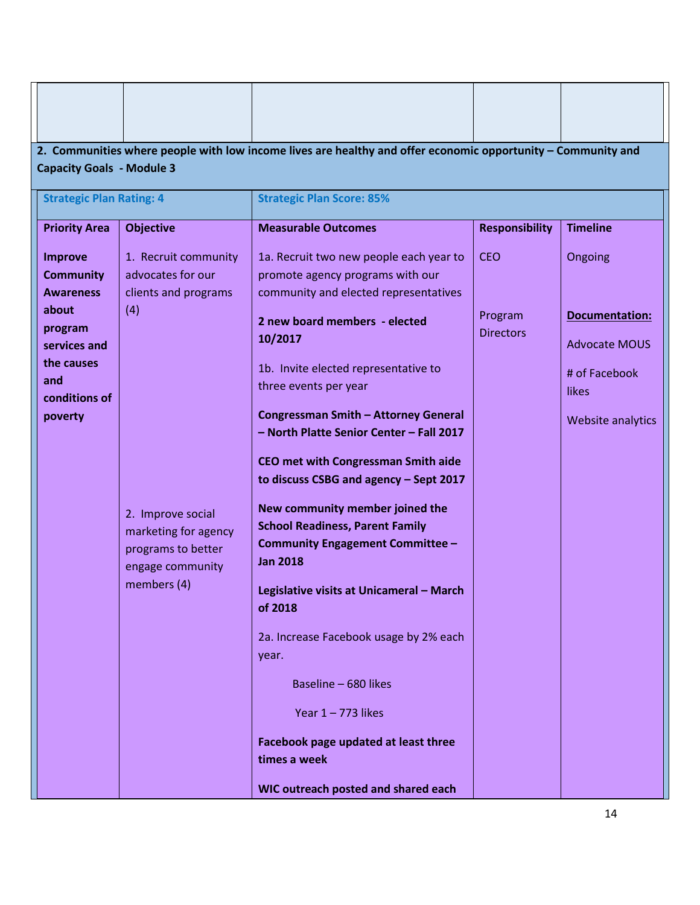|                                                                                   | 2. Communities where people with low income lives are healthy and offer economic opportunity - Community and<br><b>Capacity Goals - Module 3</b> |                                                                                                                                                                                                                                                                                                                                                                                                                                                                                                                                                                                     |                             |                                                                                              |  |  |  |  |
|-----------------------------------------------------------------------------------|--------------------------------------------------------------------------------------------------------------------------------------------------|-------------------------------------------------------------------------------------------------------------------------------------------------------------------------------------------------------------------------------------------------------------------------------------------------------------------------------------------------------------------------------------------------------------------------------------------------------------------------------------------------------------------------------------------------------------------------------------|-----------------------------|----------------------------------------------------------------------------------------------|--|--|--|--|
| <b>Strategic Plan Rating: 4</b>                                                   |                                                                                                                                                  | <b>Strategic Plan Score: 85%</b>                                                                                                                                                                                                                                                                                                                                                                                                                                                                                                                                                    |                             |                                                                                              |  |  |  |  |
| <b>Priority Area</b>                                                              | <b>Objective</b>                                                                                                                                 | <b>Measurable Outcomes</b>                                                                                                                                                                                                                                                                                                                                                                                                                                                                                                                                                          | <b>Responsibility</b>       | <b>Timeline</b>                                                                              |  |  |  |  |
| <b>Improve</b><br><b>Community</b><br><b>Awareness</b>                            | 1. Recruit community<br>advocates for our<br>clients and programs                                                                                | 1a. Recruit two new people each year to<br>promote agency programs with our<br>community and elected representatives                                                                                                                                                                                                                                                                                                                                                                                                                                                                | <b>CEO</b>                  | Ongoing                                                                                      |  |  |  |  |
| about<br>program<br>services and<br>the causes<br>and<br>conditions of<br>poverty | (4)<br>2. Improve social<br>marketing for agency<br>programs to better<br>engage community<br>members (4)                                        | 2 new board members - elected<br>10/2017<br>1b. Invite elected representative to<br>three events per year<br><b>Congressman Smith - Attorney General</b><br>- North Platte Senior Center - Fall 2017<br>CEO met with Congressman Smith aide<br>to discuss CSBG and agency - Sept 2017<br>New community member joined the<br><b>School Readiness, Parent Family</b><br>Community Engagement Committee -<br><b>Jan 2018</b><br>Legislative visits at Unicameral - March<br>of 2018<br>2a. Increase Facebook usage by 2% each<br>year.<br>Baseline - 680 likes<br>Year $1 - 773$ likes | Program<br><b>Directors</b> | <b>Documentation:</b><br><b>Advocate MOUS</b><br># of Facebook<br>likes<br>Website analytics |  |  |  |  |
|                                                                                   |                                                                                                                                                  | Facebook page updated at least three<br>times a week<br>WIC outreach posted and shared each                                                                                                                                                                                                                                                                                                                                                                                                                                                                                         |                             |                                                                                              |  |  |  |  |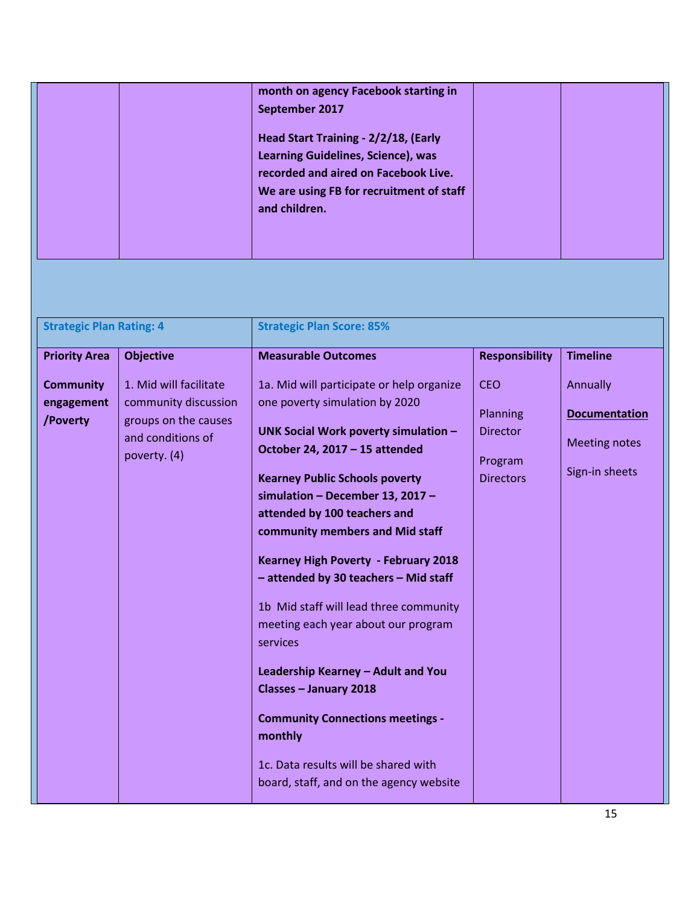|  | month on agency Facebook starting in     |  |  |
|--|------------------------------------------|--|--|
|  | September 2017                           |  |  |
|  | Head Start Training - 2/2/18, (Early     |  |  |
|  | Learning Guidelines, Science), was       |  |  |
|  | recorded and aired on Facebook Live.     |  |  |
|  | We are using FB for recruitment of staff |  |  |
|  | and children.                            |  |  |
|  |                                          |  |  |
|  |                                          |  |  |

| <b>Strategic Plan Rating: 4</b>            |                                                                                                             | <b>Strategic Plan Score: 85%</b>                                                                                                                                                                                                                                                                                                                                                                                                                                                                                                                                                                                                                                                             |                                                                          |                                                                            |  |
|--------------------------------------------|-------------------------------------------------------------------------------------------------------------|----------------------------------------------------------------------------------------------------------------------------------------------------------------------------------------------------------------------------------------------------------------------------------------------------------------------------------------------------------------------------------------------------------------------------------------------------------------------------------------------------------------------------------------------------------------------------------------------------------------------------------------------------------------------------------------------|--------------------------------------------------------------------------|----------------------------------------------------------------------------|--|
| <b>Priority Area</b><br><b>Objective</b>   |                                                                                                             | <b>Measurable Outcomes</b>                                                                                                                                                                                                                                                                                                                                                                                                                                                                                                                                                                                                                                                                   | <b>Responsibility</b>                                                    | <b>Timeline</b>                                                            |  |
| <b>Community</b><br>engagement<br>/Poverty | 1. Mid will facilitate<br>community discussion<br>groups on the causes<br>and conditions of<br>poverty. (4) | 1a. Mid will participate or help organize<br>one poverty simulation by 2020<br>UNK Social Work poverty simulation -<br>October 24, 2017 - 15 attended<br><b>Kearney Public Schools poverty</b><br>simulation - December 13, 2017 -<br>attended by 100 teachers and<br>community members and Mid staff<br>Kearney High Poverty - February 2018<br>- attended by 30 teachers - Mid staff<br>1b Mid staff will lead three community<br>meeting each year about our program<br>services<br>Leadership Kearney - Adult and You<br>Classes - January 2018<br><b>Community Connections meetings -</b><br>monthly<br>1c. Data results will be shared with<br>board, staff, and on the agency website | <b>CEO</b><br>Planning<br><b>Director</b><br>Program<br><b>Directors</b> | Annually<br><b>Documentation</b><br><b>Meeting notes</b><br>Sign-in sheets |  |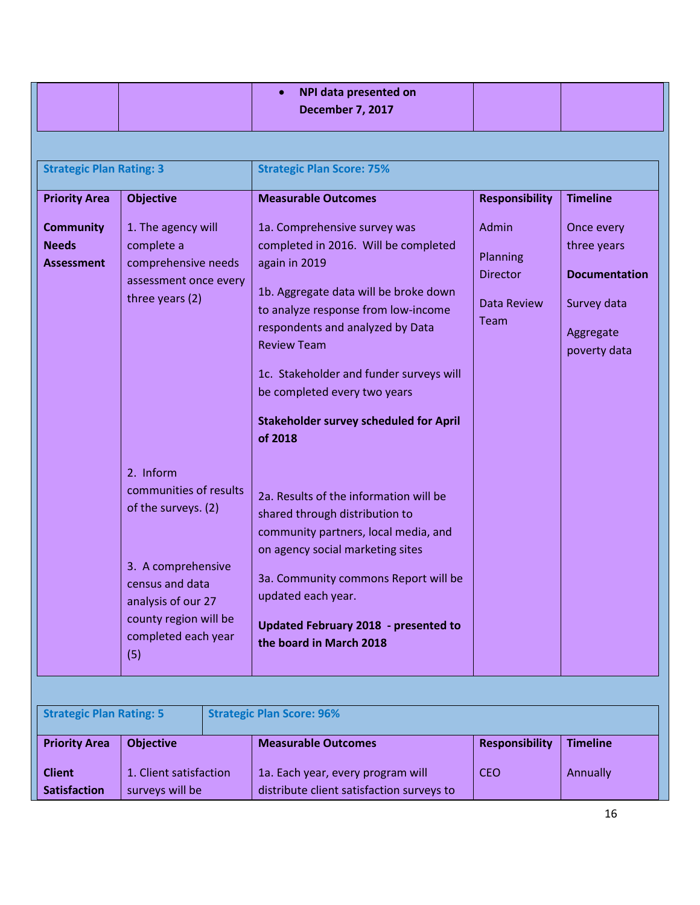|                                                       |                                                                                                                                                                                  | <b>NPI data presented on</b><br><b>December 7, 2017</b>                                                                                                                                                                                                                                                                                                                |                                                             |                                                                                               |
|-------------------------------------------------------|----------------------------------------------------------------------------------------------------------------------------------------------------------------------------------|------------------------------------------------------------------------------------------------------------------------------------------------------------------------------------------------------------------------------------------------------------------------------------------------------------------------------------------------------------------------|-------------------------------------------------------------|-----------------------------------------------------------------------------------------------|
| <b>Strategic Plan Rating: 3</b>                       |                                                                                                                                                                                  | <b>Strategic Plan Score: 75%</b>                                                                                                                                                                                                                                                                                                                                       |                                                             |                                                                                               |
| <b>Priority Area</b>                                  | <b>Objective</b>                                                                                                                                                                 | <b>Measurable Outcomes</b>                                                                                                                                                                                                                                                                                                                                             | <b>Responsibility</b>                                       | <b>Timeline</b>                                                                               |
| <b>Community</b><br><b>Needs</b><br><b>Assessment</b> | 1. The agency will<br>complete a<br>comprehensive needs<br>assessment once every<br>three years (2)                                                                              | 1a. Comprehensive survey was<br>completed in 2016. Will be completed<br>again in 2019<br>1b. Aggregate data will be broke down<br>to analyze response from low-income<br>respondents and analyzed by Data<br><b>Review Team</b><br>1c. Stakeholder and funder surveys will<br>be completed every two years<br><b>Stakeholder survey scheduled for April</b><br>of 2018 | Admin<br>Planning<br><b>Director</b><br>Data Review<br>Team | Once every<br>three years<br><b>Documentation</b><br>Survey data<br>Aggregate<br>poverty data |
|                                                       | 2. Inform<br>communities of results<br>of the surveys. (2)<br>3. A comprehensive<br>census and data<br>analysis of our 27<br>county region will be<br>completed each year<br>(5) | 2a. Results of the information will be<br>shared through distribution to<br>community partners, local media, and<br>on agency social marketing sites<br>3a. Community commons Report will be<br>updated each year.<br>Updated February 2018 - presented to<br>the board in March 2018                                                                                  |                                                             |                                                                                               |

| <b>Strategic Plan Rating: 5</b>      |                                           |  | <b>Strategic Plan Score: 96%</b>                                               |                       |                 |
|--------------------------------------|-------------------------------------------|--|--------------------------------------------------------------------------------|-----------------------|-----------------|
| <b>Priority Area</b>                 | <b>Objective</b>                          |  | <b>Measurable Outcomes</b>                                                     | <b>Responsibility</b> | <b>Timeline</b> |
| <b>Client</b><br><b>Satisfaction</b> | 1. Client satisfaction<br>surveys will be |  | 1a. Each year, every program will<br>distribute client satisfaction surveys to | <b>CEO</b>            | Annually        |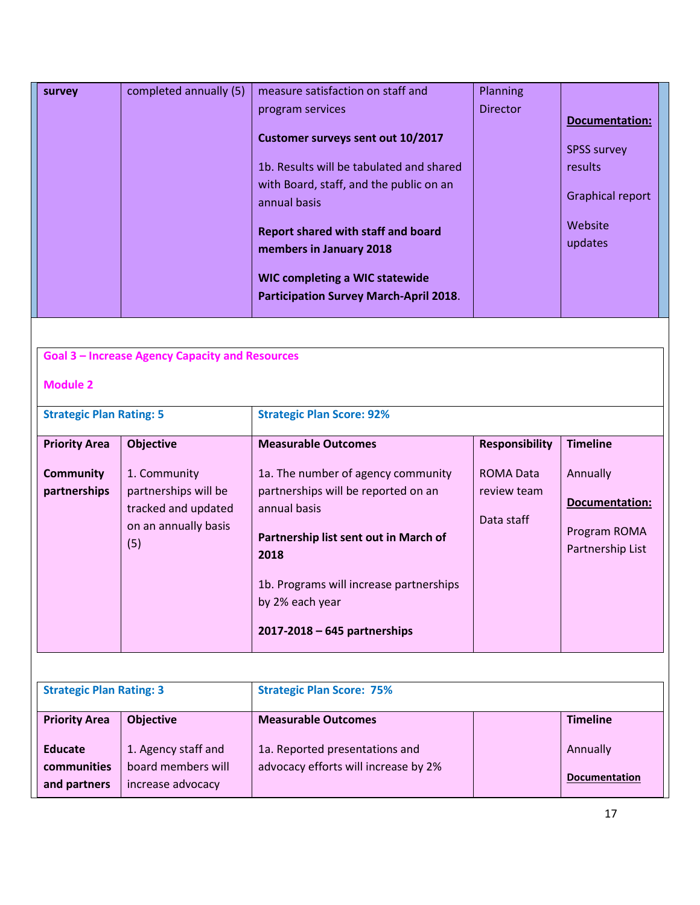| survey | completed annually (5) | measure satisfaction on staff and             | Planning        |                         |  |
|--------|------------------------|-----------------------------------------------|-----------------|-------------------------|--|
|        |                        | program services                              | <b>Director</b> |                         |  |
|        |                        |                                               |                 | <b>Documentation:</b>   |  |
|        |                        | Customer surveys sent out 10/2017             |                 | <b>SPSS survey</b>      |  |
|        |                        | 1b. Results will be tabulated and shared      |                 | results                 |  |
|        |                        | with Board, staff, and the public on an       |                 |                         |  |
|        |                        | annual basis                                  |                 | <b>Graphical report</b> |  |
|        |                        |                                               |                 | Website                 |  |
|        |                        | <b>Report shared with staff and board</b>     |                 |                         |  |
|        |                        | members in January 2018                       |                 | updates                 |  |
|        |                        |                                               |                 |                         |  |
|        |                        | <b>WIC completing a WIC statewide</b>         |                 |                         |  |
|        |                        | <b>Participation Survey March-April 2018.</b> |                 |                         |  |
|        |                        |                                               |                 |                         |  |

### **Goal 3 – Increase Agency Capacity and Resources**

#### **Module 2**

| <b>Strategic Plan Rating: 5</b>                          |                                                                                                                | <b>Strategic Plan Score: 92%</b>                                                                                                                                                                                    |                                                                        |                                                                                          |  |
|----------------------------------------------------------|----------------------------------------------------------------------------------------------------------------|---------------------------------------------------------------------------------------------------------------------------------------------------------------------------------------------------------------------|------------------------------------------------------------------------|------------------------------------------------------------------------------------------|--|
| <b>Priority Area</b><br><b>Community</b><br>partnerships | <b>Objective</b><br>1. Community<br>partnerships will be<br>tracked and updated<br>on an annually basis<br>(5) | <b>Measurable Outcomes</b><br>1a. The number of agency community<br>partnerships will be reported on an<br>annual basis<br>Partnership list sent out in March of<br>2018<br>1b. Programs will increase partnerships | <b>Responsibility</b><br><b>ROMA Data</b><br>review team<br>Data staff | <b>Timeline</b><br>Annually<br><b>Documentation:</b><br>Program ROMA<br>Partnership List |  |
|                                                          |                                                                                                                | by 2% each year<br>$2017 - 2018 - 645$ partnerships                                                                                                                                                                 |                                                                        |                                                                                          |  |

| <b>Strategic Plan Rating: 3</b>          |                                                                | <b>Strategic Plan Score: 75%</b>                                       |  |                                  |
|------------------------------------------|----------------------------------------------------------------|------------------------------------------------------------------------|--|----------------------------------|
| <b>Priority Area</b><br><b>Objective</b> |                                                                | <b>Measurable Outcomes</b>                                             |  | <b>Timeline</b>                  |
| Educate<br>communities<br>and partners   | 1. Agency staff and<br>board members will<br>increase advocacy | 1a. Reported presentations and<br>advocacy efforts will increase by 2% |  | Annually<br><b>Documentation</b> |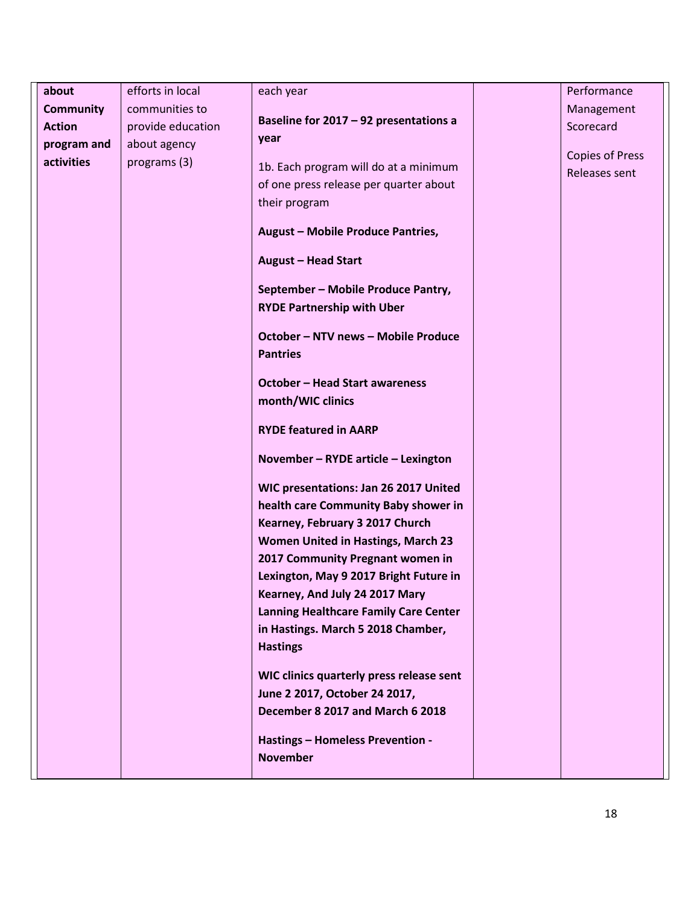| efforts in local<br>Performance<br>about<br>each year<br>communities to<br><b>Community</b><br>Management<br>Baseline for 2017 - 92 presentations a<br><b>Action</b><br>Scorecard<br>provide education<br>year<br>about agency<br>program and<br><b>Copies of Press</b><br>activities<br>programs (3)<br>1b. Each program will do at a minimum<br>Releases sent<br>of one press release per quarter about<br>their program<br><b>August - Mobile Produce Pantries,</b><br><b>August - Head Start</b><br>September - Mobile Produce Pantry,<br><b>RYDE Partnership with Uber</b><br><b>October - NTV news - Mobile Produce</b><br><b>Pantries</b><br><b>October - Head Start awareness</b><br>month/WIC clinics<br><b>RYDE featured in AARP</b><br>November - RYDE article - Lexington<br>WIC presentations: Jan 26 2017 United<br>health care Community Baby shower in<br>Kearney, February 3 2017 Church<br><b>Women United in Hastings, March 23</b><br>2017 Community Pregnant women in<br>Lexington, May 9 2017 Bright Future in<br>Kearney, And July 24 2017 Mary<br><b>Lanning Healthcare Family Care Center</b><br>in Hastings. March 5 2018 Chamber,<br><b>Hastings</b><br>WIC clinics quarterly press release sent<br>June 2 2017, October 24 2017,<br>December 8 2017 and March 6 2018<br><b>Hastings - Homeless Prevention -</b><br><b>November</b> |  |  |  |
|----------------------------------------------------------------------------------------------------------------------------------------------------------------------------------------------------------------------------------------------------------------------------------------------------------------------------------------------------------------------------------------------------------------------------------------------------------------------------------------------------------------------------------------------------------------------------------------------------------------------------------------------------------------------------------------------------------------------------------------------------------------------------------------------------------------------------------------------------------------------------------------------------------------------------------------------------------------------------------------------------------------------------------------------------------------------------------------------------------------------------------------------------------------------------------------------------------------------------------------------------------------------------------------------------------------------------------------------------------------|--|--|--|
|                                                                                                                                                                                                                                                                                                                                                                                                                                                                                                                                                                                                                                                                                                                                                                                                                                                                                                                                                                                                                                                                                                                                                                                                                                                                                                                                                                |  |  |  |
|                                                                                                                                                                                                                                                                                                                                                                                                                                                                                                                                                                                                                                                                                                                                                                                                                                                                                                                                                                                                                                                                                                                                                                                                                                                                                                                                                                |  |  |  |
|                                                                                                                                                                                                                                                                                                                                                                                                                                                                                                                                                                                                                                                                                                                                                                                                                                                                                                                                                                                                                                                                                                                                                                                                                                                                                                                                                                |  |  |  |
|                                                                                                                                                                                                                                                                                                                                                                                                                                                                                                                                                                                                                                                                                                                                                                                                                                                                                                                                                                                                                                                                                                                                                                                                                                                                                                                                                                |  |  |  |
|                                                                                                                                                                                                                                                                                                                                                                                                                                                                                                                                                                                                                                                                                                                                                                                                                                                                                                                                                                                                                                                                                                                                                                                                                                                                                                                                                                |  |  |  |
|                                                                                                                                                                                                                                                                                                                                                                                                                                                                                                                                                                                                                                                                                                                                                                                                                                                                                                                                                                                                                                                                                                                                                                                                                                                                                                                                                                |  |  |  |
|                                                                                                                                                                                                                                                                                                                                                                                                                                                                                                                                                                                                                                                                                                                                                                                                                                                                                                                                                                                                                                                                                                                                                                                                                                                                                                                                                                |  |  |  |
|                                                                                                                                                                                                                                                                                                                                                                                                                                                                                                                                                                                                                                                                                                                                                                                                                                                                                                                                                                                                                                                                                                                                                                                                                                                                                                                                                                |  |  |  |
|                                                                                                                                                                                                                                                                                                                                                                                                                                                                                                                                                                                                                                                                                                                                                                                                                                                                                                                                                                                                                                                                                                                                                                                                                                                                                                                                                                |  |  |  |
|                                                                                                                                                                                                                                                                                                                                                                                                                                                                                                                                                                                                                                                                                                                                                                                                                                                                                                                                                                                                                                                                                                                                                                                                                                                                                                                                                                |  |  |  |
|                                                                                                                                                                                                                                                                                                                                                                                                                                                                                                                                                                                                                                                                                                                                                                                                                                                                                                                                                                                                                                                                                                                                                                                                                                                                                                                                                                |  |  |  |
|                                                                                                                                                                                                                                                                                                                                                                                                                                                                                                                                                                                                                                                                                                                                                                                                                                                                                                                                                                                                                                                                                                                                                                                                                                                                                                                                                                |  |  |  |
|                                                                                                                                                                                                                                                                                                                                                                                                                                                                                                                                                                                                                                                                                                                                                                                                                                                                                                                                                                                                                                                                                                                                                                                                                                                                                                                                                                |  |  |  |
|                                                                                                                                                                                                                                                                                                                                                                                                                                                                                                                                                                                                                                                                                                                                                                                                                                                                                                                                                                                                                                                                                                                                                                                                                                                                                                                                                                |  |  |  |
|                                                                                                                                                                                                                                                                                                                                                                                                                                                                                                                                                                                                                                                                                                                                                                                                                                                                                                                                                                                                                                                                                                                                                                                                                                                                                                                                                                |  |  |  |
|                                                                                                                                                                                                                                                                                                                                                                                                                                                                                                                                                                                                                                                                                                                                                                                                                                                                                                                                                                                                                                                                                                                                                                                                                                                                                                                                                                |  |  |  |
|                                                                                                                                                                                                                                                                                                                                                                                                                                                                                                                                                                                                                                                                                                                                                                                                                                                                                                                                                                                                                                                                                                                                                                                                                                                                                                                                                                |  |  |  |
|                                                                                                                                                                                                                                                                                                                                                                                                                                                                                                                                                                                                                                                                                                                                                                                                                                                                                                                                                                                                                                                                                                                                                                                                                                                                                                                                                                |  |  |  |
|                                                                                                                                                                                                                                                                                                                                                                                                                                                                                                                                                                                                                                                                                                                                                                                                                                                                                                                                                                                                                                                                                                                                                                                                                                                                                                                                                                |  |  |  |
|                                                                                                                                                                                                                                                                                                                                                                                                                                                                                                                                                                                                                                                                                                                                                                                                                                                                                                                                                                                                                                                                                                                                                                                                                                                                                                                                                                |  |  |  |
|                                                                                                                                                                                                                                                                                                                                                                                                                                                                                                                                                                                                                                                                                                                                                                                                                                                                                                                                                                                                                                                                                                                                                                                                                                                                                                                                                                |  |  |  |
|                                                                                                                                                                                                                                                                                                                                                                                                                                                                                                                                                                                                                                                                                                                                                                                                                                                                                                                                                                                                                                                                                                                                                                                                                                                                                                                                                                |  |  |  |
|                                                                                                                                                                                                                                                                                                                                                                                                                                                                                                                                                                                                                                                                                                                                                                                                                                                                                                                                                                                                                                                                                                                                                                                                                                                                                                                                                                |  |  |  |
|                                                                                                                                                                                                                                                                                                                                                                                                                                                                                                                                                                                                                                                                                                                                                                                                                                                                                                                                                                                                                                                                                                                                                                                                                                                                                                                                                                |  |  |  |
|                                                                                                                                                                                                                                                                                                                                                                                                                                                                                                                                                                                                                                                                                                                                                                                                                                                                                                                                                                                                                                                                                                                                                                                                                                                                                                                                                                |  |  |  |
|                                                                                                                                                                                                                                                                                                                                                                                                                                                                                                                                                                                                                                                                                                                                                                                                                                                                                                                                                                                                                                                                                                                                                                                                                                                                                                                                                                |  |  |  |
|                                                                                                                                                                                                                                                                                                                                                                                                                                                                                                                                                                                                                                                                                                                                                                                                                                                                                                                                                                                                                                                                                                                                                                                                                                                                                                                                                                |  |  |  |
|                                                                                                                                                                                                                                                                                                                                                                                                                                                                                                                                                                                                                                                                                                                                                                                                                                                                                                                                                                                                                                                                                                                                                                                                                                                                                                                                                                |  |  |  |
|                                                                                                                                                                                                                                                                                                                                                                                                                                                                                                                                                                                                                                                                                                                                                                                                                                                                                                                                                                                                                                                                                                                                                                                                                                                                                                                                                                |  |  |  |
|                                                                                                                                                                                                                                                                                                                                                                                                                                                                                                                                                                                                                                                                                                                                                                                                                                                                                                                                                                                                                                                                                                                                                                                                                                                                                                                                                                |  |  |  |
|                                                                                                                                                                                                                                                                                                                                                                                                                                                                                                                                                                                                                                                                                                                                                                                                                                                                                                                                                                                                                                                                                                                                                                                                                                                                                                                                                                |  |  |  |
|                                                                                                                                                                                                                                                                                                                                                                                                                                                                                                                                                                                                                                                                                                                                                                                                                                                                                                                                                                                                                                                                                                                                                                                                                                                                                                                                                                |  |  |  |
|                                                                                                                                                                                                                                                                                                                                                                                                                                                                                                                                                                                                                                                                                                                                                                                                                                                                                                                                                                                                                                                                                                                                                                                                                                                                                                                                                                |  |  |  |
|                                                                                                                                                                                                                                                                                                                                                                                                                                                                                                                                                                                                                                                                                                                                                                                                                                                                                                                                                                                                                                                                                                                                                                                                                                                                                                                                                                |  |  |  |
|                                                                                                                                                                                                                                                                                                                                                                                                                                                                                                                                                                                                                                                                                                                                                                                                                                                                                                                                                                                                                                                                                                                                                                                                                                                                                                                                                                |  |  |  |
|                                                                                                                                                                                                                                                                                                                                                                                                                                                                                                                                                                                                                                                                                                                                                                                                                                                                                                                                                                                                                                                                                                                                                                                                                                                                                                                                                                |  |  |  |
|                                                                                                                                                                                                                                                                                                                                                                                                                                                                                                                                                                                                                                                                                                                                                                                                                                                                                                                                                                                                                                                                                                                                                                                                                                                                                                                                                                |  |  |  |
|                                                                                                                                                                                                                                                                                                                                                                                                                                                                                                                                                                                                                                                                                                                                                                                                                                                                                                                                                                                                                                                                                                                                                                                                                                                                                                                                                                |  |  |  |
|                                                                                                                                                                                                                                                                                                                                                                                                                                                                                                                                                                                                                                                                                                                                                                                                                                                                                                                                                                                                                                                                                                                                                                                                                                                                                                                                                                |  |  |  |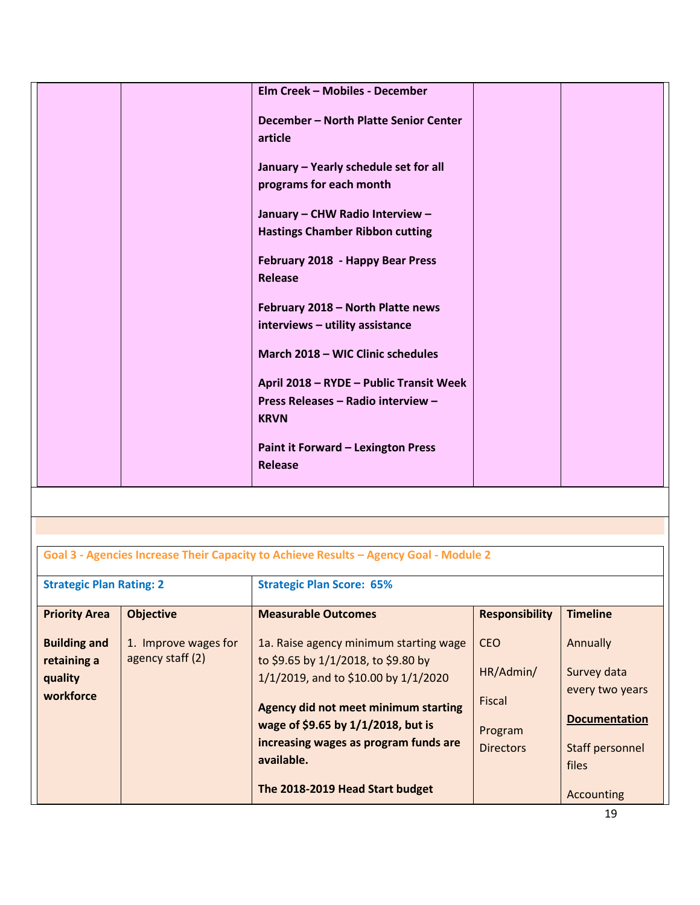| Elm Creek - Mobiles - December            |  |
|-------------------------------------------|--|
|                                           |  |
|                                           |  |
| December - North Platte Senior Center     |  |
| article                                   |  |
|                                           |  |
| January - Yearly schedule set for all     |  |
| programs for each month                   |  |
|                                           |  |
| January - CHW Radio Interview -           |  |
| <b>Hastings Chamber Ribbon cutting</b>    |  |
|                                           |  |
| February 2018 - Happy Bear Press          |  |
| <b>Release</b>                            |  |
|                                           |  |
| February 2018 - North Platte news         |  |
|                                           |  |
| interviews - utility assistance           |  |
|                                           |  |
| March 2018 - WIC Clinic schedules         |  |
|                                           |  |
| April 2018 - RYDE - Public Transit Week   |  |
| Press Releases - Radio interview -        |  |
| <b>KRVN</b>                               |  |
|                                           |  |
| <b>Paint it Forward - Lexington Press</b> |  |
| Release                                   |  |
|                                           |  |

| Goal 3 - Agencies Increase Their Capacity to Achieve Results - Agency Goal - Module 2 |  |  |  |
|---------------------------------------------------------------------------------------|--|--|--|
|                                                                                       |  |  |  |

| <b>Strategic Plan Rating: 2</b>             |                                          | <b>Strategic Plan Score: 65%</b>                                                                                                                                                                                 |                                                    |                                                                                    |
|---------------------------------------------|------------------------------------------|------------------------------------------------------------------------------------------------------------------------------------------------------------------------------------------------------------------|----------------------------------------------------|------------------------------------------------------------------------------------|
| <b>Priority Area</b><br><b>Building and</b> | <b>Objective</b><br>1. Improve wages for | <b>Measurable Outcomes</b><br>1a. Raise agency minimum starting wage                                                                                                                                             | <b>Responsibility</b><br><b>CEO</b>                | <b>Timeline</b><br>Annually                                                        |
| retaining a<br>quality<br>workforce         | agency staff (2)                         | to \$9.65 by 1/1/2018, to \$9.80 by<br>1/1/2019, and to \$10.00 by 1/1/2020<br>Agency did not meet minimum starting<br>wage of \$9.65 by 1/1/2018, but is<br>increasing wages as program funds are<br>available. | HR/Admin/<br>Fiscal<br>Program<br><b>Directors</b> | Survey data<br>every two years<br><b>Documentation</b><br>Staff personnel<br>files |
|                                             |                                          | The 2018-2019 Head Start budget                                                                                                                                                                                  |                                                    | Accounting                                                                         |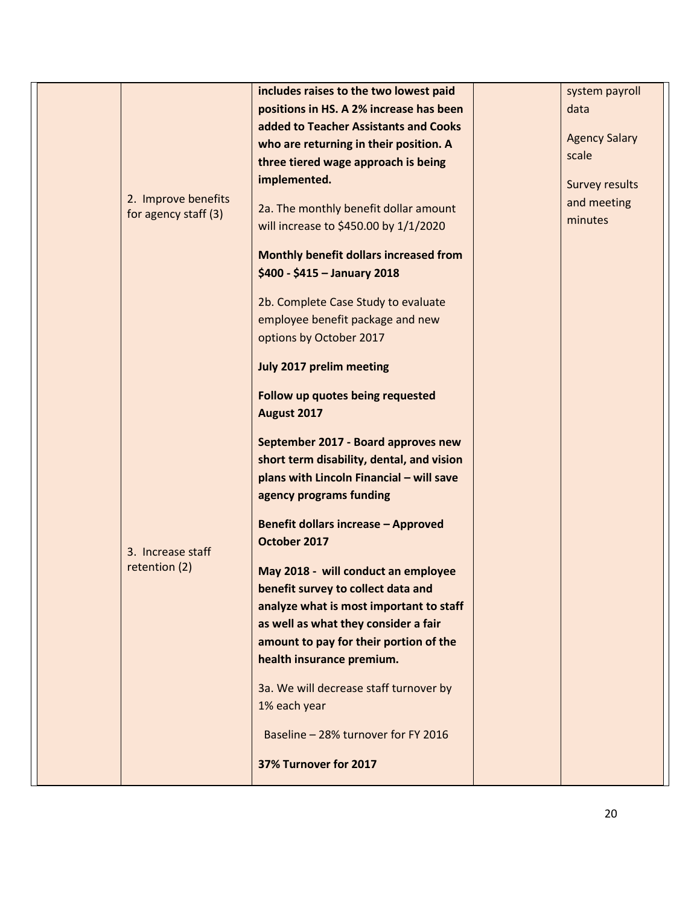|  |                      | includes raises to the two lowest paid     | system payroll        |
|--|----------------------|--------------------------------------------|-----------------------|
|  |                      | positions in HS. A 2% increase has been    | data                  |
|  |                      | added to Teacher Assistants and Cooks      |                       |
|  |                      | who are returning in their position. A     | <b>Agency Salary</b>  |
|  |                      | three tiered wage approach is being        | scale                 |
|  |                      | implemented.                               | <b>Survey results</b> |
|  | 2. Improve benefits  | 2a. The monthly benefit dollar amount      | and meeting           |
|  | for agency staff (3) | will increase to \$450.00 by 1/1/2020      | minutes               |
|  |                      | Monthly benefit dollars increased from     |                       |
|  |                      | \$400 - \$415 - January 2018               |                       |
|  |                      | 2b. Complete Case Study to evaluate        |                       |
|  |                      | employee benefit package and new           |                       |
|  |                      | options by October 2017                    |                       |
|  |                      | July 2017 prelim meeting                   |                       |
|  |                      | Follow up quotes being requested           |                       |
|  |                      | August 2017                                |                       |
|  |                      | September 2017 - Board approves new        |                       |
|  |                      | short term disability, dental, and vision  |                       |
|  |                      | plans with Lincoln Financial - will save   |                       |
|  |                      | agency programs funding                    |                       |
|  |                      | <b>Benefit dollars increase - Approved</b> |                       |
|  | 3. Increase staff    | October 2017                               |                       |
|  | retention (2)        | May 2018 - will conduct an employee        |                       |
|  |                      | benefit survey to collect data and         |                       |
|  |                      | analyze what is most important to staff    |                       |
|  |                      | as well as what they consider a fair       |                       |
|  |                      | amount to pay for their portion of the     |                       |
|  |                      | health insurance premium.                  |                       |
|  |                      | 3a. We will decrease staff turnover by     |                       |
|  |                      | 1% each year                               |                       |
|  |                      | Baseline - 28% turnover for FY 2016        |                       |
|  |                      | 37% Turnover for 2017                      |                       |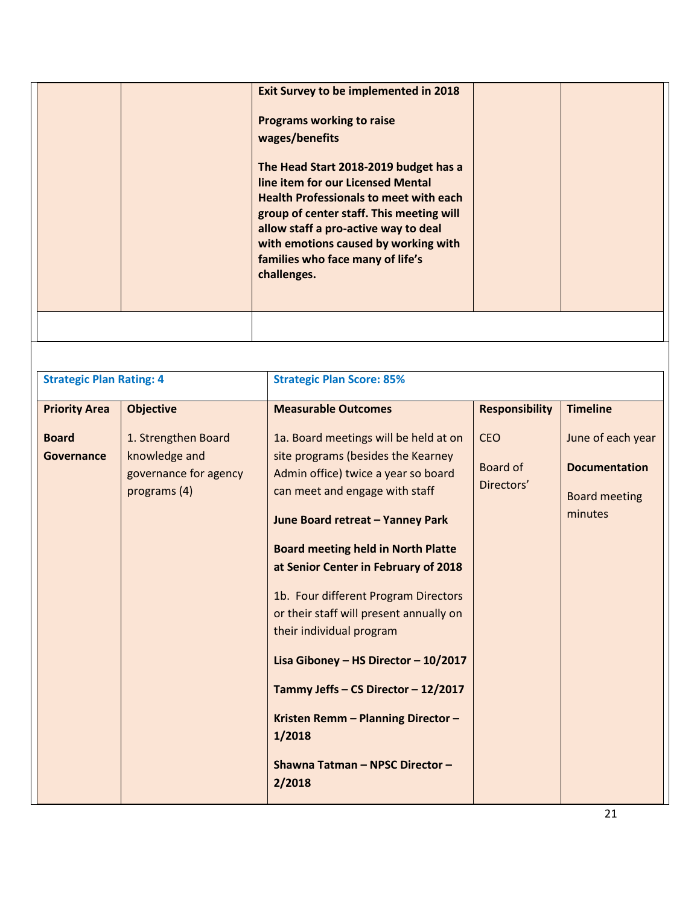|  | <b>Exit Survey to be implemented in 2018</b><br><b>Programs working to raise</b><br>wages/benefits<br>The Head Start 2018-2019 budget has a<br>line item for our Licensed Mental<br><b>Health Professionals to meet with each</b><br>group of center staff. This meeting will<br>allow staff a pro-active way to deal<br>with emotions caused by working with<br>families who face many of life's<br>challenges. |  |
|--|------------------------------------------------------------------------------------------------------------------------------------------------------------------------------------------------------------------------------------------------------------------------------------------------------------------------------------------------------------------------------------------------------------------|--|
|  |                                                                                                                                                                                                                                                                                                                                                                                                                  |  |

| <b>Strategic Plan Rating: 4</b> |                                                                               | <b>Strategic Plan Score: 85%</b>                                                                                                                                                                                                                                                                                                                                                                                                                                                                                                                                         |                                      |                                                                              |
|---------------------------------|-------------------------------------------------------------------------------|--------------------------------------------------------------------------------------------------------------------------------------------------------------------------------------------------------------------------------------------------------------------------------------------------------------------------------------------------------------------------------------------------------------------------------------------------------------------------------------------------------------------------------------------------------------------------|--------------------------------------|------------------------------------------------------------------------------|
| <b>Priority Area</b>            | <b>Objective</b>                                                              | <b>Measurable Outcomes</b>                                                                                                                                                                                                                                                                                                                                                                                                                                                                                                                                               | <b>Responsibility</b>                | <b>Timeline</b>                                                              |
| <b>Board</b><br>Governance      | 1. Strengthen Board<br>knowledge and<br>governance for agency<br>programs (4) | 1a. Board meetings will be held at on<br>site programs (besides the Kearney<br>Admin office) twice a year so board<br>can meet and engage with staff<br>June Board retreat - Yanney Park<br><b>Board meeting held in North Platte</b><br>at Senior Center in February of 2018<br>1b. Four different Program Directors<br>or their staff will present annually on<br>their individual program<br>Lisa Giboney - HS Director - 10/2017<br>Tammy Jeffs - CS Director - 12/2017<br>Kristen Remm - Planning Director -<br>1/2018<br>Shawna Tatman - NPSC Director -<br>2/2018 | <b>CEO</b><br>Board of<br>Directors' | June of each year<br><b>Documentation</b><br><b>Board meeting</b><br>minutes |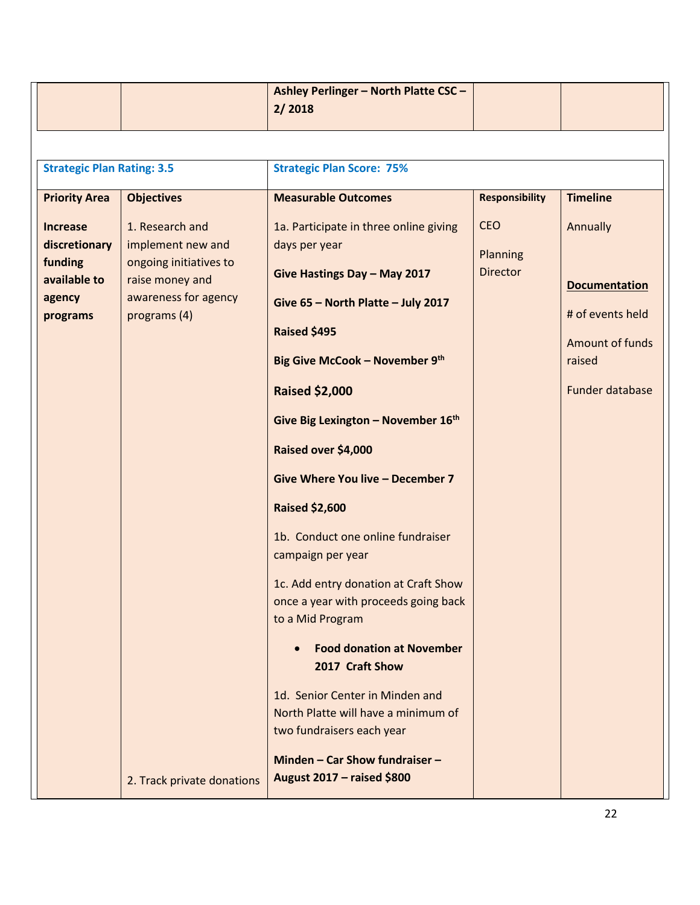| <b>Strategic Plan Rating: 3.5</b><br><b>Strategic Plan Score: 75%</b><br><b>Responsibility</b><br><b>Measurable Outcomes</b><br><b>Timeline</b><br><b>Priority Area</b><br><b>Objectives</b><br><b>CEO</b><br>1. Research and<br>1a. Participate in three online giving<br>Annually<br><b>Increase</b><br>discretionary<br>implement new and<br>days per year<br>Planning<br>funding<br>ongoing initiatives to<br><b>Director</b><br>Give Hastings Day - May 2017<br>available to<br>raise money and<br>awareness for agency<br>agency<br>Give 65 - North Platte - July 2017<br>programs (4)<br>programs<br>Raised \$495<br>Big Give McCook - November 9th<br>raised<br><b>Raised \$2,000</b><br>Give Big Lexington - November 16th<br>Raised over \$4,000<br>Give Where You live - December 7<br><b>Raised \$2,600</b><br>1b. Conduct one online fundraiser<br>campaign per year<br>1c. Add entry donation at Craft Show<br>once a year with proceeds going back<br>to a Mid Program<br><b>Food donation at November</b><br>2017 Craft Show<br>1d. Senior Center in Minden and<br>North Platte will have a minimum of<br>two fundraisers each year |  | Ashley Perlinger - North Platte CSC -<br>2/2018 |                                                                                       |
|-----------------------------------------------------------------------------------------------------------------------------------------------------------------------------------------------------------------------------------------------------------------------------------------------------------------------------------------------------------------------------------------------------------------------------------------------------------------------------------------------------------------------------------------------------------------------------------------------------------------------------------------------------------------------------------------------------------------------------------------------------------------------------------------------------------------------------------------------------------------------------------------------------------------------------------------------------------------------------------------------------------------------------------------------------------------------------------------------------------------------------------------------------|--|-------------------------------------------------|---------------------------------------------------------------------------------------|
|                                                                                                                                                                                                                                                                                                                                                                                                                                                                                                                                                                                                                                                                                                                                                                                                                                                                                                                                                                                                                                                                                                                                                     |  |                                                 |                                                                                       |
|                                                                                                                                                                                                                                                                                                                                                                                                                                                                                                                                                                                                                                                                                                                                                                                                                                                                                                                                                                                                                                                                                                                                                     |  |                                                 |                                                                                       |
|                                                                                                                                                                                                                                                                                                                                                                                                                                                                                                                                                                                                                                                                                                                                                                                                                                                                                                                                                                                                                                                                                                                                                     |  |                                                 |                                                                                       |
| Minden - Car Show fundraiser -<br>August 2017 - raised \$800<br>2. Track private donations                                                                                                                                                                                                                                                                                                                                                                                                                                                                                                                                                                                                                                                                                                                                                                                                                                                                                                                                                                                                                                                          |  |                                                 | <b>Documentation</b><br># of events held<br><b>Amount of funds</b><br>Funder database |